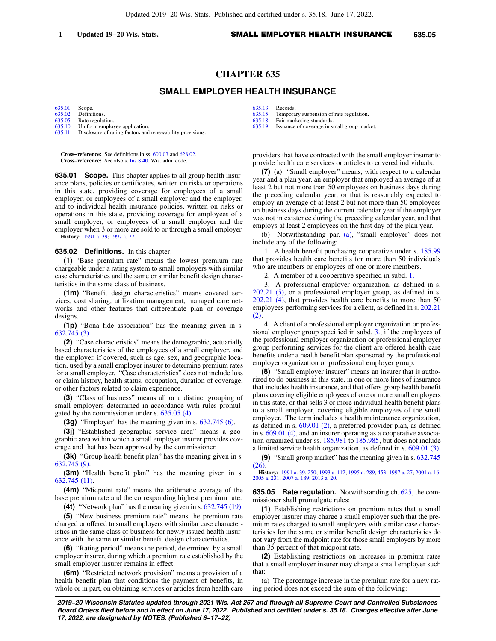## **CHAPTER 635**

## **SMALL EMPLOYER HEALTH INSURANCE**

[635.01](https://docs.legis.wisconsin.gov/document/statutes/635.01) Scope.<br>635.02 Definit [635.02](https://docs.legis.wisconsin.gov/document/statutes/635.02) Definitions.<br>635.05 Rate regular [635.05](https://docs.legis.wisconsin.gov/document/statutes/635.05) Rate regulation.<br>635.10 Uniform employ [635.10](https://docs.legis.wisconsin.gov/document/statutes/635.10) Uniform employee application.<br>635.11 Disclosure of rating factors and

Disclosure of rating factors and renewability provisions.

**Cross−reference:** See definitions in ss. [600.03](https://docs.legis.wisconsin.gov/document/statutes/600.03) and [628.02](https://docs.legis.wisconsin.gov/document/statutes/628.02). **Cross−reference:** See also s. [Ins 8.40,](https://docs.legis.wisconsin.gov/document/administrativecode/Ins%208.40) Wis. adm. code.

**635.01 Scope.** This chapter applies to all group health insurance plans, policies or certificates, written on risks or operations in this state, providing coverage for employees of a small employer, or employees of a small employer and the employer, and to individual health insurance policies, written on risks or operations in this state, providing coverage for employees of a small employer, or employees of a small employer and the employer when 3 or more are sold to or through a small employer. **History:** [1991 a. 39;](https://docs.legis.wisconsin.gov/document/acts/1991/39) [1997 a. 27.](https://docs.legis.wisconsin.gov/document/acts/1997/27)

## **635.02 Definitions.** In this chapter:

**(1)** "Base premium rate" means the lowest premium rate chargeable under a rating system to small employers with similar case characteristics and the same or similar benefit design characteristics in the same class of business.

**(1m)** "Benefit design characteristics" means covered services, cost sharing, utilization management, managed care networks and other features that differentiate plan or coverage designs.

**(1p)** "Bona fide association" has the meaning given in s. [632.745 \(3\)](https://docs.legis.wisconsin.gov/document/statutes/632.745(3)).

**(2)** "Case characteristics" means the demographic, actuarially based characteristics of the employees of a small employer, and the employer, if covered, such as age, sex, and geographic location, used by a small employer insurer to determine premium rates for a small employer. "Case characteristics" does not include loss or claim history, health status, occupation, duration of coverage, or other factors related to claim experience.

**(3)** "Class of business" means all or a distinct grouping of small employers determined in accordance with rules promulgated by the commissioner under s. [635.05 \(4\)](https://docs.legis.wisconsin.gov/document/statutes/635.05(4)).

**(3g)** "Employer" has the meaning given in s. [632.745 \(6\).](https://docs.legis.wisconsin.gov/document/statutes/632.745(6))

**(3j)** "Established geographic service area" means a geographic area within which a small employer insurer provides coverage and that has been approved by the commissioner.

**(3k)** "Group health benefit plan" has the meaning given in s. [632.745 \(9\)](https://docs.legis.wisconsin.gov/document/statutes/632.745(9)).

**(3m)** "Health benefit plan" has the meaning given in s. [632.745 \(11\)](https://docs.legis.wisconsin.gov/document/statutes/632.745(11)).

**(4m)** "Midpoint rate" means the arithmetic average of the base premium rate and the corresponding highest premium rate.

**(4t)** "Network plan" has the meaning given in s. [632.745 \(19\).](https://docs.legis.wisconsin.gov/document/statutes/632.745(19))

**(5)** "New business premium rate" means the premium rate charged or offered to small employers with similar case characteristics in the same class of business for newly issued health insurance with the same or similar benefit design characteristics.

**(6)** "Rating period" means the period, determined by a small employer insurer, during which a premium rate established by the small employer insurer remains in effect.

**(6m)** "Restricted network provision" means a provision of a health benefit plan that conditions the payment of benefits, in whole or in part, on obtaining services or articles from health care [635.13](https://docs.legis.wisconsin.gov/document/statutes/635.13) Records.<br>635.15 Tempora

[635.15](https://docs.legis.wisconsin.gov/document/statutes/635.15) Temporary suspension of rate regulation.<br>635.18 Fair marketing standards.

[635.18](https://docs.legis.wisconsin.gov/document/statutes/635.18) Fair marketing standards.<br>635.19 Issuance of coverage in s Issuance of coverage in small group market.

providers that have contracted with the small employer insurer to provide health care services or articles to covered individuals.

**(7)** (a) "Small employer" means, with respect to a calendar year and a plan year, an employer that employed an average of at least 2 but not more than 50 employees on business days during the preceding calendar year, or that is reasonably expected to employ an average of at least 2 but not more than 50 employees on business days during the current calendar year if the employer was not in existence during the preceding calendar year, and that employs at least 2 employees on the first day of the plan year.

(b) Notwithstanding par. [\(a\)](https://docs.legis.wisconsin.gov/document/statutes/635.02(7)(a)), "small employer" does not include any of the following:

1. A health benefit purchasing cooperative under s. [185.99](https://docs.legis.wisconsin.gov/document/statutes/185.99) that provides health care benefits for more than 50 individuals who are members or employees of one or more members.

2. A member of a cooperative specified in subd. [1.](https://docs.legis.wisconsin.gov/document/statutes/635.02(7)(b)1.)

3. A professional employer organization, as defined in s. [202.21 \(5\),](https://docs.legis.wisconsin.gov/document/statutes/202.21(5)) or a professional employer group, as defined in s. [202.21 \(4\),](https://docs.legis.wisconsin.gov/document/statutes/202.21(4)) that provides health care benefits to more than 50 employees performing services for a client, as defined in s. [202.21](https://docs.legis.wisconsin.gov/document/statutes/202.21(2)) [\(2\).](https://docs.legis.wisconsin.gov/document/statutes/202.21(2))

4. A client of a professional employer organization or professional employer group specified in subd. [3.](https://docs.legis.wisconsin.gov/document/statutes/635.02(7)(b)3.), if the employees of the professional employer organization or professional employer group performing services for the client are offered health care benefits under a health benefit plan sponsored by the professional employer organization or professional employer group.

**(8)** "Small employer insurer" means an insurer that is authorized to do business in this state, in one or more lines of insurance that includes health insurance, and that offers group health benefit plans covering eligible employees of one or more small employers in this state, or that sells 3 or more individual health benefit plans to a small employer, covering eligible employees of the small employer. The term includes a health maintenance organization, as defined in s. [609.01 \(2\)](https://docs.legis.wisconsin.gov/document/statutes/609.01(2)), a preferred provider plan, as defined in s. [609.01 \(4\)](https://docs.legis.wisconsin.gov/document/statutes/609.01(4)), and an insurer operating as a cooperative association organized under ss. [185.981](https://docs.legis.wisconsin.gov/document/statutes/185.981) to [185.985](https://docs.legis.wisconsin.gov/document/statutes/185.985), but does not include a limited service health organization, as defined in s. [609.01 \(3\).](https://docs.legis.wisconsin.gov/document/statutes/609.01(3))

**(9)** "Small group market" has the meaning given in s. [632.745](https://docs.legis.wisconsin.gov/document/statutes/632.745(26)) [\(26\)](https://docs.legis.wisconsin.gov/document/statutes/632.745(26)).

**History:** [1991 a. 39,](https://docs.legis.wisconsin.gov/document/acts/1991/39) [250;](https://docs.legis.wisconsin.gov/document/acts/1991/250) [1993 a. 112;](https://docs.legis.wisconsin.gov/document/acts/1993/112) [1995 a. 289,](https://docs.legis.wisconsin.gov/document/acts/1995/289) [453;](https://docs.legis.wisconsin.gov/document/acts/1995/453) [1997 a. 27;](https://docs.legis.wisconsin.gov/document/acts/1997/27) [2001 a. 16](https://docs.legis.wisconsin.gov/document/acts/2001/16); [2005 a. 231;](https://docs.legis.wisconsin.gov/document/acts/2005/231) [2007 a. 189;](https://docs.legis.wisconsin.gov/document/acts/2007/189) [2013 a. 20.](https://docs.legis.wisconsin.gov/document/acts/2013/20)

**635.05 Rate regulation.** Notwithstanding ch. [625,](https://docs.legis.wisconsin.gov/document/statutes/ch.%20625) the commissioner shall promulgate rules:

**(1)** Establishing restrictions on premium rates that a small employer insurer may charge a small employer such that the premium rates charged to small employers with similar case characteristics for the same or similar benefit design characteristics do not vary from the midpoint rate for those small employers by more than 35 percent of that midpoint rate.

**(2)** Establishing restrictions on increases in premium rates that a small employer insurer may charge a small employer such that:

(a) The percentage increase in the premium rate for a new rating period does not exceed the sum of the following:

**2019−20 Wisconsin Statutes updated through 2021 Wis. Act 267 and through all Supreme Court and Controlled Substances Board Orders filed before and in effect on June 17, 2022. Published and certified under s. 35.18. Changes effective after June 17, 2022, are designated by NOTES. (Published 6−17−22)**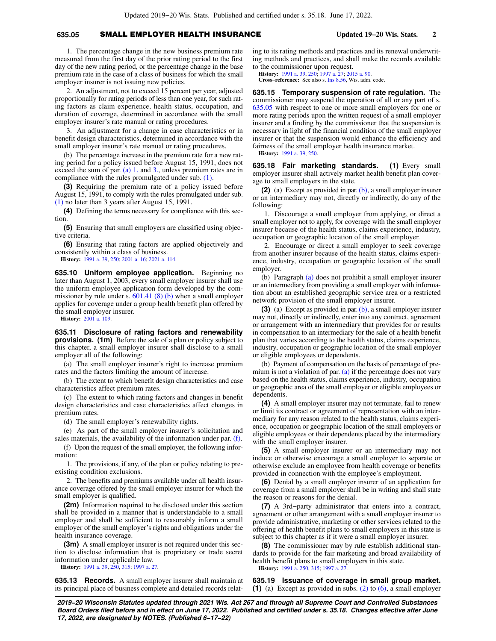## **635.05** SMALL EMPLOYER HEALTH INSURANCE **Updated 19−20 Wis. Stats. 2**

1. The percentage change in the new business premium rate measured from the first day of the prior rating period to the first day of the new rating period, or the percentage change in the base premium rate in the case of a class of business for which the small employer insurer is not issuing new policies.

2. An adjustment, not to exceed 15 percent per year, adjusted proportionally for rating periods of less than one year, for such rating factors as claim experience, health status, occupation, and duration of coverage, determined in accordance with the small employer insurer's rate manual or rating procedures.

3. An adjustment for a change in case characteristics or in benefit design characteristics, determined in accordance with the small employer insurer's rate manual or rating procedures.

(b) The percentage increase in the premium rate for a new rating period for a policy issued before August 15, 1991, does not exceed the sum of par. [\(a\) 1.](https://docs.legis.wisconsin.gov/document/statutes/635.05(2)(a)1.) and [3.,](https://docs.legis.wisconsin.gov/document/statutes/635.05(2)(a)3.) unless premium rates are in compliance with the rules promulgated under sub. [\(1\).](https://docs.legis.wisconsin.gov/document/statutes/635.05(1))

**(3)** Requiring the premium rate of a policy issued before August 15, 1991, to comply with the rules promulgated under sub. [\(1\)](https://docs.legis.wisconsin.gov/document/statutes/635.05(1)) no later than 3 years after August 15, 1991.

**(4)** Defining the terms necessary for compliance with this section.

**(5)** Ensuring that small employers are classified using objective criteria.

**(6)** Ensuring that rating factors are applied objectively and consistently within a class of business.

**History:** [1991 a. 39,](https://docs.legis.wisconsin.gov/document/acts/1991/39) [250;](https://docs.legis.wisconsin.gov/document/acts/1991/250) [2001 a. 16](https://docs.legis.wisconsin.gov/document/acts/2001/16); [2021 a. 114](https://docs.legis.wisconsin.gov/document/acts/2021/114).

**635.10 Uniform employee application.** Beginning no later than August 1, 2003, every small employer insurer shall use the uniform employee application form developed by the commissioner by rule under s.  $601.41$  (8) (b) when a small employer applies for coverage under a group health benefit plan offered by the small employer insurer.

**History:** [2001 a. 109](https://docs.legis.wisconsin.gov/document/acts/2001/109).

**635.11 Disclosure of rating factors and renewability provisions. (1m)** Before the sale of a plan or policy subject to this chapter, a small employer insurer shall disclose to a small employer all of the following:

(a) The small employer insurer's right to increase premium rates and the factors limiting the amount of increase.

(b) The extent to which benefit design characteristics and case characteristics affect premium rates.

(c) The extent to which rating factors and changes in benefit design characteristics and case characteristics affect changes in premium rates.

(d) The small employer's renewability rights.

(e) As part of the small employer insurer's solicitation and sales materials, the availability of the information under par. [\(f\)](https://docs.legis.wisconsin.gov/document/statutes/635.11(1m)(f)).

(f) Upon the request of the small employer, the following information:

1. The provisions, if any, of the plan or policy relating to preexisting condition exclusions.

2. The benefits and premiums available under all health insurance coverage offered by the small employer insurer for which the small employer is qualified.

**(2m)** Information required to be disclosed under this section shall be provided in a manner that is understandable to a small employer and shall be sufficient to reasonably inform a small employer of the small employer's rights and obligations under the health insurance coverage.

**(3m)** A small employer insurer is not required under this section to disclose information that is proprietary or trade secret information under applicable law.

**History:** [1991 a. 39,](https://docs.legis.wisconsin.gov/document/acts/1991/39) [250,](https://docs.legis.wisconsin.gov/document/acts/1991/250) [315;](https://docs.legis.wisconsin.gov/document/acts/1991/315) [1997 a. 27](https://docs.legis.wisconsin.gov/document/acts/1997/27).

**635.13 Records.** A small employer insurer shall maintain at its principal place of business complete and detailed records relating to its rating methods and practices and its renewal underwriting methods and practices, and shall make the records available to the commissioner upon request.

**History:** [1991 a. 39](https://docs.legis.wisconsin.gov/document/acts/1991/39), [250](https://docs.legis.wisconsin.gov/document/acts/1991/250); [1997 a. 27](https://docs.legis.wisconsin.gov/document/acts/1997/27); [2015 a. 90](https://docs.legis.wisconsin.gov/document/acts/2015/90).

**Cross−reference:** See also s. [Ins 8.56](https://docs.legis.wisconsin.gov/document/administrativecode/Ins%208.56), Wis. adm. code.

**635.15 Temporary suspension of rate regulation.** The commissioner may suspend the operation of all or any part of s. [635.05](https://docs.legis.wisconsin.gov/document/statutes/635.05) with respect to one or more small employers for one or more rating periods upon the written request of a small employer insurer and a finding by the commissioner that the suspension is necessary in light of the financial condition of the small employer insurer or that the suspension would enhance the efficiency and fairness of the small employer health insurance market.

**History:** [1991 a. 39](https://docs.legis.wisconsin.gov/document/acts/1991/39), [250](https://docs.legis.wisconsin.gov/document/acts/1991/250).

**635.18 Fair marketing standards. (1)** Every small employer insurer shall actively market health benefit plan coverage to small employers in the state.

**(2)** (a) Except as provided in par. [\(b\),](https://docs.legis.wisconsin.gov/document/statutes/635.18(2)(b)) a small employer insurer or an intermediary may not, directly or indirectly, do any of the following:

1. Discourage a small employer from applying, or direct a small employer not to apply, for coverage with the small employer insurer because of the health status, claims experience, industry, occupation or geographic location of the small employer.

2. Encourage or direct a small employer to seek coverage from another insurer because of the health status, claims experience, industry, occupation or geographic location of the small employer.

(b) Paragraph [\(a\)](https://docs.legis.wisconsin.gov/document/statutes/635.18(2)(a)) does not prohibit a small employer insurer or an intermediary from providing a small employer with information about an established geographic service area or a restricted network provision of the small employer insurer.

**(3)** (a) Except as provided in par. [\(b\),](https://docs.legis.wisconsin.gov/document/statutes/635.18(3)(b)) a small employer insurer may not, directly or indirectly, enter into any contract, agreement or arrangement with an intermediary that provides for or results in compensation to an intermediary for the sale of a health benefit plan that varies according to the health status, claims experience, industry, occupation or geographic location of the small employer or eligible employees or dependents.

(b) Payment of compensation on the basis of percentage of pre-mium is not a violation of par. [\(a\)](https://docs.legis.wisconsin.gov/document/statutes/635.18(3)(a)) if the percentage does not vary based on the health status, claims experience, industry, occupation or geographic area of the small employer or eligible employees or dependents.

**(4)** A small employer insurer may not terminate, fail to renew or limit its contract or agreement of representation with an intermediary for any reason related to the health status, claims experience, occupation or geographic location of the small employers or eligible employees or their dependents placed by the intermediary with the small employer insurer.

**(5)** A small employer insurer or an intermediary may not induce or otherwise encourage a small employer to separate or otherwise exclude an employee from health coverage or benefits provided in connection with the employee's employment.

**(6)** Denial by a small employer insurer of an application for coverage from a small employer shall be in writing and shall state the reason or reasons for the denial.

**(7)** A 3rd−party administrator that enters into a contract, agreement or other arrangement with a small employer insurer to provide administrative, marketing or other services related to the offering of health benefit plans to small employers in this state is subject to this chapter as if it were a small employer insurer.

**(8)** The commissioner may by rule establish additional standards to provide for the fair marketing and broad availability of health benefit plans to small employers in this state. **History:** [1991 a. 250,](https://docs.legis.wisconsin.gov/document/acts/1991/250) [315;](https://docs.legis.wisconsin.gov/document/acts/1991/315) [1997 a. 27.](https://docs.legis.wisconsin.gov/document/acts/1997/27)

**635.19 Issuance of coverage in small group market. (1)** (a) Except as provided in subs. [\(2\)](https://docs.legis.wisconsin.gov/document/statutes/635.19(2)) to [\(6\)](https://docs.legis.wisconsin.gov/document/statutes/635.19(6)), a small employer

**2019−20 Wisconsin Statutes updated through 2021 Wis. Act 267 and through all Supreme Court and Controlled Substances Board Orders filed before and in effect on June 17, 2022. Published and certified under s. 35.18. Changes effective after June 17, 2022, are designated by NOTES. (Published 6−17−22)**